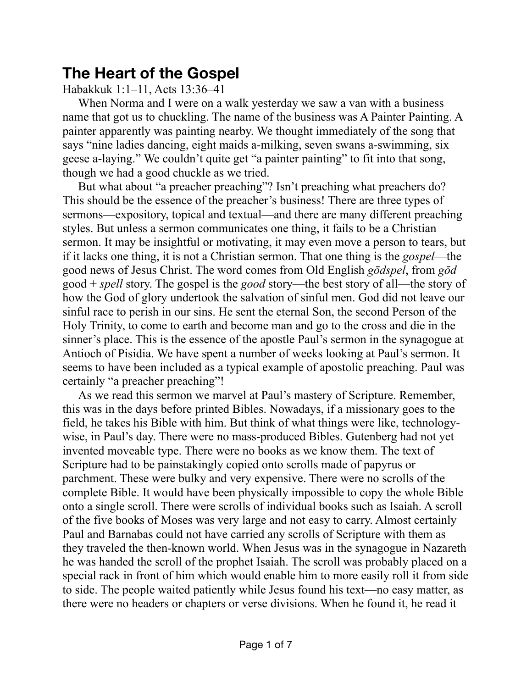# **The Heart of the Gospel**

## Habakkuk 1:1–11, Acts 13:36–41

When Norma and I were on a walk yesterday we saw a van with a business name that got us to chuckling. The name of the business was A Painter Painting. A painter apparently was painting nearby. We thought immediately of the song that says "nine ladies dancing, eight maids a-milking, seven swans a-swimming, six geese a-laying." We couldn't quite get "a painter painting" to fit into that song, though we had a good chuckle as we tried.

But what about "a preacher preaching"? Isn't preaching what preachers do? This should be the essence of the preacher's business! There are three types of sermons—expository, topical and textual—and there are many different preaching styles. But unless a sermon communicates one thing, it fails to be a Christian sermon. It may be insightful or motivating, it may even move a person to tears, but if it lacks one thing, it is not a Christian sermon. That one thing is the *gospel*—the good news of Jesus Christ. The word comes from Old English *gōdspel*, from *gōd* good + *spell* story. The gospel is the *good* story—the best story of all—the story of how the God of glory undertook the salvation of sinful men. God did not leave our sinful race to perish in our sins. He sent the eternal Son, the second Person of the Holy Trinity, to come to earth and become man and go to the cross and die in the sinner's place. This is the essence of the apostle Paul's sermon in the synagogue at Antioch of Pisidia. We have spent a number of weeks looking at Paul's sermon. It seems to have been included as a typical example of apostolic preaching. Paul was certainly "a preacher preaching"!

As we read this sermon we marvel at Paul's mastery of Scripture. Remember, this was in the days before printed Bibles. Nowadays, if a missionary goes to the field, he takes his Bible with him. But think of what things were like, technologywise, in Paul's day. There were no mass-produced Bibles. Gutenberg had not yet invented moveable type. There were no books as we know them. The text of Scripture had to be painstakingly copied onto scrolls made of papyrus or parchment. These were bulky and very expensive. There were no scrolls of the complete Bible. It would have been physically impossible to copy the whole Bible onto a single scroll. There were scrolls of individual books such as Isaiah. A scroll of the five books of Moses was very large and not easy to carry. Almost certainly Paul and Barnabas could not have carried any scrolls of Scripture with them as they traveled the then-known world. When Jesus was in the synagogue in Nazareth he was handed the scroll of the prophet Isaiah. The scroll was probably placed on a special rack in front of him which would enable him to more easily roll it from side to side. The people waited patiently while Jesus found his text—no easy matter, as there were no headers or chapters or verse divisions. When he found it, he read it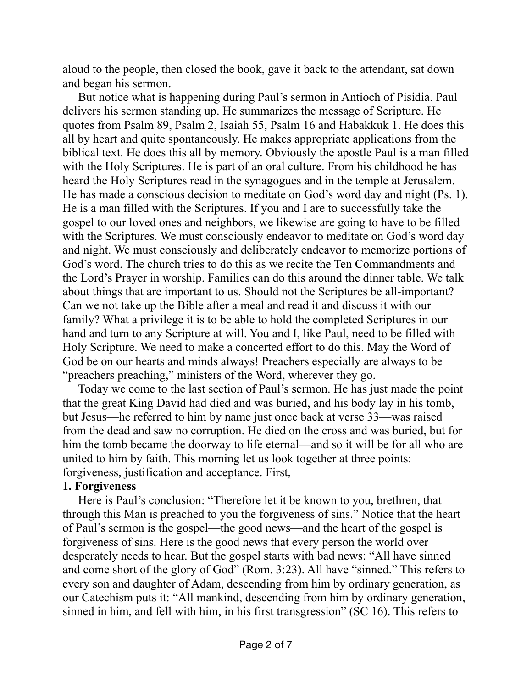aloud to the people, then closed the book, gave it back to the attendant, sat down and began his sermon.

But notice what is happening during Paul's sermon in Antioch of Pisidia. Paul delivers his sermon standing up. He summarizes the message of Scripture. He quotes from Psalm 89, Psalm 2, Isaiah 55, Psalm 16 and Habakkuk 1. He does this all by heart and quite spontaneously. He makes appropriate applications from the biblical text. He does this all by memory. Obviously the apostle Paul is a man filled with the Holy Scriptures. He is part of an oral culture. From his childhood he has heard the Holy Scriptures read in the synagogues and in the temple at Jerusalem. He has made a conscious decision to meditate on God's word day and night (Ps. 1). He is a man filled with the Scriptures. If you and I are to successfully take the gospel to our loved ones and neighbors, we likewise are going to have to be filled with the Scriptures. We must consciously endeavor to meditate on God's word day and night. We must consciously and deliberately endeavor to memorize portions of God's word. The church tries to do this as we recite the Ten Commandments and the Lord's Prayer in worship. Families can do this around the dinner table. We talk about things that are important to us. Should not the Scriptures be all-important? Can we not take up the Bible after a meal and read it and discuss it with our family? What a privilege it is to be able to hold the completed Scriptures in our hand and turn to any Scripture at will. You and I, like Paul, need to be filled with Holy Scripture. We need to make a concerted effort to do this. May the Word of God be on our hearts and minds always! Preachers especially are always to be "preachers preaching," ministers of the Word, wherever they go.

Today we come to the last section of Paul's sermon. He has just made the point that the great King David had died and was buried, and his body lay in his tomb, but Jesus—he referred to him by name just once back at verse 33—was raised from the dead and saw no corruption. He died on the cross and was buried, but for him the tomb became the doorway to life eternal—and so it will be for all who are united to him by faith. This morning let us look together at three points: forgiveness, justification and acceptance. First,

#### **1. Forgiveness**

Here is Paul's conclusion: "Therefore let it be known to you, brethren, that through this Man is preached to you the forgiveness of sins." Notice that the heart of Paul's sermon is the gospel—the good news—and the heart of the gospel is forgiveness of sins. Here is the good news that every person the world over desperately needs to hear. But the gospel starts with bad news: "All have sinned and come short of the glory of God" (Rom. 3:23). All have "sinned." This refers to every son and daughter of Adam, descending from him by ordinary generation, as our Catechism puts it: "All mankind, descending from him by ordinary generation, sinned in him, and fell with him, in his first transgression" (SC 16). This refers to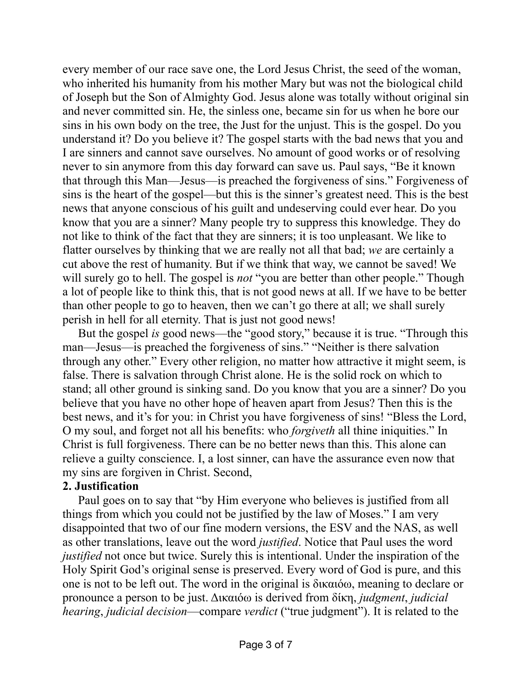every member of our race save one, the Lord Jesus Christ, the seed of the woman, who inherited his humanity from his mother Mary but was not the biological child of Joseph but the Son of Almighty God. Jesus alone was totally without original sin and never committed sin. He, the sinless one, became sin for us when he bore our sins in his own body on the tree, the Just for the unjust. This is the gospel. Do you understand it? Do you believe it? The gospel starts with the bad news that you and I are sinners and cannot save ourselves. No amount of good works or of resolving never to sin anymore from this day forward can save us. Paul says, "Be it known that through this Man—Jesus—is preached the forgiveness of sins." Forgiveness of sins is the heart of the gospel—but this is the sinner's greatest need. This is the best news that anyone conscious of his guilt and undeserving could ever hear. Do you know that you are a sinner? Many people try to suppress this knowledge. They do not like to think of the fact that they are sinners; it is too unpleasant. We like to flatter ourselves by thinking that we are really not all that bad; *we* are certainly a cut above the rest of humanity. But if we think that way, we cannot be saved! We will surely go to hell. The gospel is *not* "you are better than other people." Though a lot of people like to think this, that is not good news at all. If we have to be better than other people to go to heaven, then we can't go there at all; we shall surely perish in hell for all eternity. That is just not good news!

But the gospel *is* good news—the "good story," because it is true. "Through this man—Jesus—is preached the forgiveness of sins." "Neither is there salvation through any other." Every other religion, no matter how attractive it might seem, is false. There is salvation through Christ alone. He is the solid rock on which to stand; all other ground is sinking sand. Do you know that you are a sinner? Do you believe that you have no other hope of heaven apart from Jesus? Then this is the best news, and it's for you: in Christ you have forgiveness of sins! "Bless the Lord, O my soul, and forget not all his benefits: who *forgiveth* all thine iniquities." In Christ is full forgiveness. There can be no better news than this. This alone can relieve a guilty conscience. I, a lost sinner, can have the assurance even now that my sins are forgiven in Christ. Second,

#### **2. Justification**

Paul goes on to say that "by Him everyone who believes is justified from all things from which you could not be justified by the law of Moses." I am very disappointed that two of our fine modern versions, the ESV and the NAS, as well as other translations, leave out the word *justified*. Notice that Paul uses the word *justified* not once but twice. Surely this is intentional. Under the inspiration of the Holy Spirit God's original sense is preserved. Every word of God is pure, and this one is not to be left out. The word in the original is δικαιόω, meaning to declare or pronounce a person to be just. Δικαιόω is derived from δίκη, *judgment*, *judicial hearing*, *judicial decision*—compare *verdict* ("true judgment"). It is related to the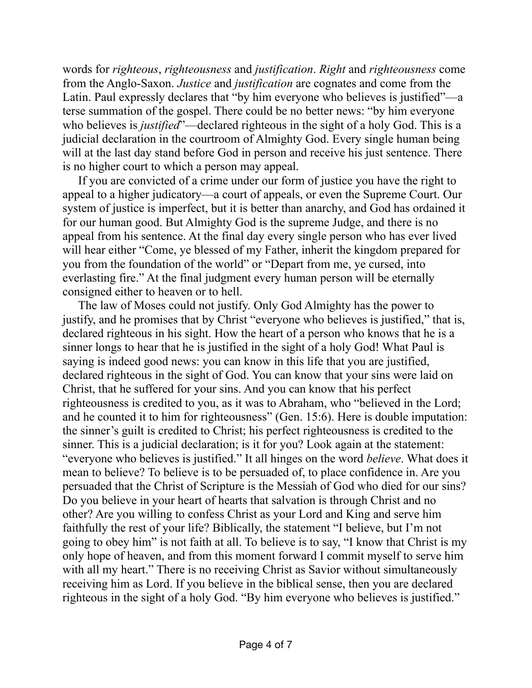words for *righteous*, *righteousness* and *justification*. *Right* and *righteousness* come from the Anglo-Saxon. *Justice* and *justification* are cognates and come from the Latin. Paul expressly declares that "by him everyone who believes is justified"—a terse summation of the gospel. There could be no better news: "by him everyone who believes is *justified*"—declared righteous in the sight of a holy God. This is a judicial declaration in the courtroom of Almighty God. Every single human being will at the last day stand before God in person and receive his just sentence. There is no higher court to which a person may appeal.

If you are convicted of a crime under our form of justice you have the right to appeal to a higher judicatory—a court of appeals, or even the Supreme Court. Our system of justice is imperfect, but it is better than anarchy, and God has ordained it for our human good. But Almighty God is the supreme Judge, and there is no appeal from his sentence. At the final day every single person who has ever lived will hear either "Come, ye blessed of my Father, inherit the kingdom prepared for you from the foundation of the world" or "Depart from me, ye cursed, into everlasting fire." At the final judgment every human person will be eternally consigned either to heaven or to hell.

The law of Moses could not justify. Only God Almighty has the power to justify, and he promises that by Christ "everyone who believes is justified," that is, declared righteous in his sight. How the heart of a person who knows that he is a sinner longs to hear that he is justified in the sight of a holy God! What Paul is saying is indeed good news: you can know in this life that you are justified, declared righteous in the sight of God. You can know that your sins were laid on Christ, that he suffered for your sins. And you can know that his perfect righteousness is credited to you, as it was to Abraham, who "believed in the Lord; and he counted it to him for righteousness" (Gen. 15:6). Here is double imputation: the sinner's guilt is credited to Christ; his perfect righteousness is credited to the sinner. This is a judicial declaration; is it for you? Look again at the statement: "everyone who believes is justified." It all hinges on the word *believe*. What does it mean to believe? To believe is to be persuaded of, to place confidence in. Are you persuaded that the Christ of Scripture is the Messiah of God who died for our sins? Do you believe in your heart of hearts that salvation is through Christ and no other? Are you willing to confess Christ as your Lord and King and serve him faithfully the rest of your life? Biblically, the statement "I believe, but I'm not going to obey him" is not faith at all. To believe is to say, "I know that Christ is my only hope of heaven, and from this moment forward I commit myself to serve him with all my heart." There is no receiving Christ as Savior without simultaneously receiving him as Lord. If you believe in the biblical sense, then you are declared righteous in the sight of a holy God. "By him everyone who believes is justified."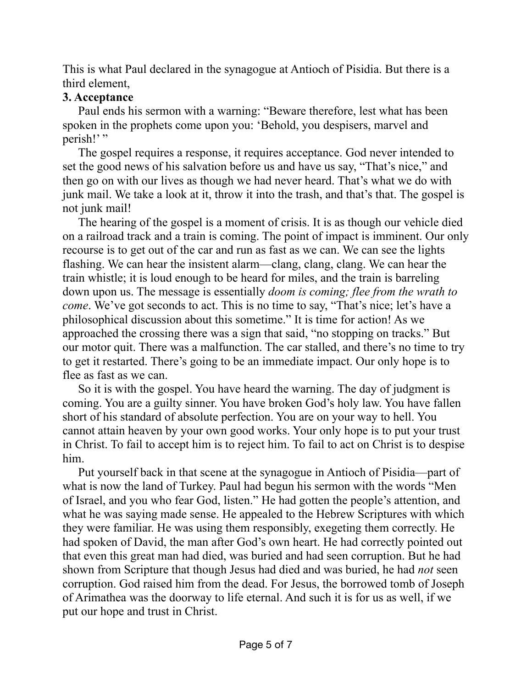This is what Paul declared in the synagogue at Antioch of Pisidia. But there is a third element,

### **3. Acceptance**

Paul ends his sermon with a warning: "Beware therefore, lest what has been spoken in the prophets come upon you: 'Behold, you despisers, marvel and perish!"

The gospel requires a response, it requires acceptance. God never intended to set the good news of his salvation before us and have us say, "That's nice," and then go on with our lives as though we had never heard. That's what we do with junk mail. We take a look at it, throw it into the trash, and that's that. The gospel is not junk mail!

The hearing of the gospel is a moment of crisis. It is as though our vehicle died on a railroad track and a train is coming. The point of impact is imminent. Our only recourse is to get out of the car and run as fast as we can. We can see the lights flashing. We can hear the insistent alarm—clang, clang, clang. We can hear the train whistle; it is loud enough to be heard for miles, and the train is barreling down upon us. The message is essentially *doom is coming; flee from the wrath to come*. We've got seconds to act. This is no time to say, "That's nice; let's have a philosophical discussion about this sometime." It is time for action! As we approached the crossing there was a sign that said, "no stopping on tracks." But our motor quit. There was a malfunction. The car stalled, and there's no time to try to get it restarted. There's going to be an immediate impact. Our only hope is to flee as fast as we can.

So it is with the gospel. You have heard the warning. The day of judgment is coming. You are a guilty sinner. You have broken God's holy law. You have fallen short of his standard of absolute perfection. You are on your way to hell. You cannot attain heaven by your own good works. Your only hope is to put your trust in Christ. To fail to accept him is to reject him. To fail to act on Christ is to despise him.

Put yourself back in that scene at the synagogue in Antioch of Pisidia—part of what is now the land of Turkey. Paul had begun his sermon with the words "Men of Israel, and you who fear God, listen." He had gotten the people's attention, and what he was saying made sense. He appealed to the Hebrew Scriptures with which they were familiar. He was using them responsibly, exegeting them correctly. He had spoken of David, the man after God's own heart. He had correctly pointed out that even this great man had died, was buried and had seen corruption. But he had shown from Scripture that though Jesus had died and was buried, he had *not* seen corruption. God raised him from the dead. For Jesus, the borrowed tomb of Joseph of Arimathea was the doorway to life eternal. And such it is for us as well, if we put our hope and trust in Christ.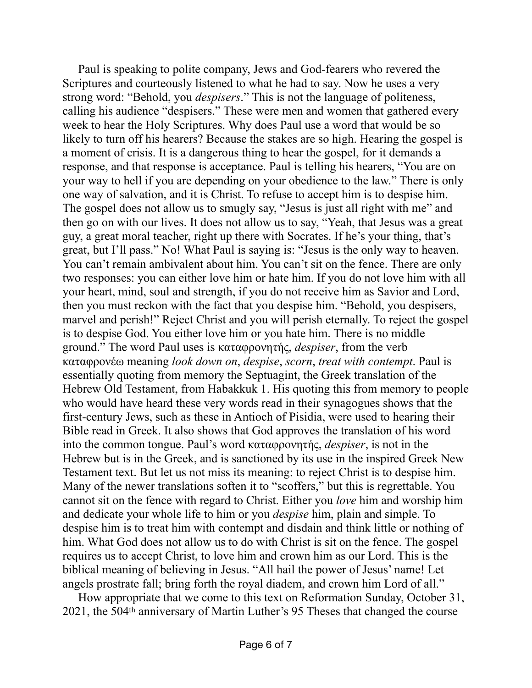Paul is speaking to polite company, Jews and God-fearers who revered the Scriptures and courteously listened to what he had to say. Now he uses a very strong word: "Behold, you *despisers*." This is not the language of politeness, calling his audience "despisers." These were men and women that gathered every week to hear the Holy Scriptures. Why does Paul use a word that would be so likely to turn off his hearers? Because the stakes are so high. Hearing the gospel is a moment of crisis. It is a dangerous thing to hear the gospel, for it demands a response, and that response is acceptance. Paul is telling his hearers, "You are on your way to hell if you are depending on your obedience to the law." There is only one way of salvation, and it is Christ. To refuse to accept him is to despise him. The gospel does not allow us to smugly say, "Jesus is just all right with me" and then go on with our lives. It does not allow us to say, "Yeah, that Jesus was a great guy, a great moral teacher, right up there with Socrates. If he's your thing, that's great, but I'll pass." No! What Paul is saying is: "Jesus is the only way to heaven. You can't remain ambivalent about him. You can't sit on the fence. There are only two responses: you can either love him or hate him. If you do not love him with all your heart, mind, soul and strength, if you do not receive him as Savior and Lord, then you must reckon with the fact that you despise him. "Behold, you despisers, marvel and perish!" Reject Christ and you will perish eternally. To reject the gospel is to despise God. You either love him or you hate him. There is no middle ground." The word Paul uses is καταφρονητής, *despiser*, from the verb καταφρονέω meaning *look down on*, *despise*, *scorn*, *treat with contempt*. Paul is essentially quoting from memory the Septuagint, the Greek translation of the Hebrew Old Testament, from Habakkuk 1. His quoting this from memory to people who would have heard these very words read in their synagogues shows that the first-century Jews, such as these in Antioch of Pisidia, were used to hearing their Bible read in Greek. It also shows that God approves the translation of his word into the common tongue. Paul's word καταφρονητής, *despiser*, is not in the Hebrew but is in the Greek, and is sanctioned by its use in the inspired Greek New Testament text. But let us not miss its meaning: to reject Christ is to despise him. Many of the newer translations soften it to "scoffers," but this is regrettable. You cannot sit on the fence with regard to Christ. Either you *love* him and worship him and dedicate your whole life to him or you *despise* him, plain and simple. To despise him is to treat him with contempt and disdain and think little or nothing of him. What God does not allow us to do with Christ is sit on the fence. The gospel requires us to accept Christ, to love him and crown him as our Lord. This is the biblical meaning of believing in Jesus. "All hail the power of Jesus' name! Let angels prostrate fall; bring forth the royal diadem, and crown him Lord of all."

How appropriate that we come to this text on Reformation Sunday, October 31, 2021, the 504th anniversary of Martin Luther's 95 Theses that changed the course